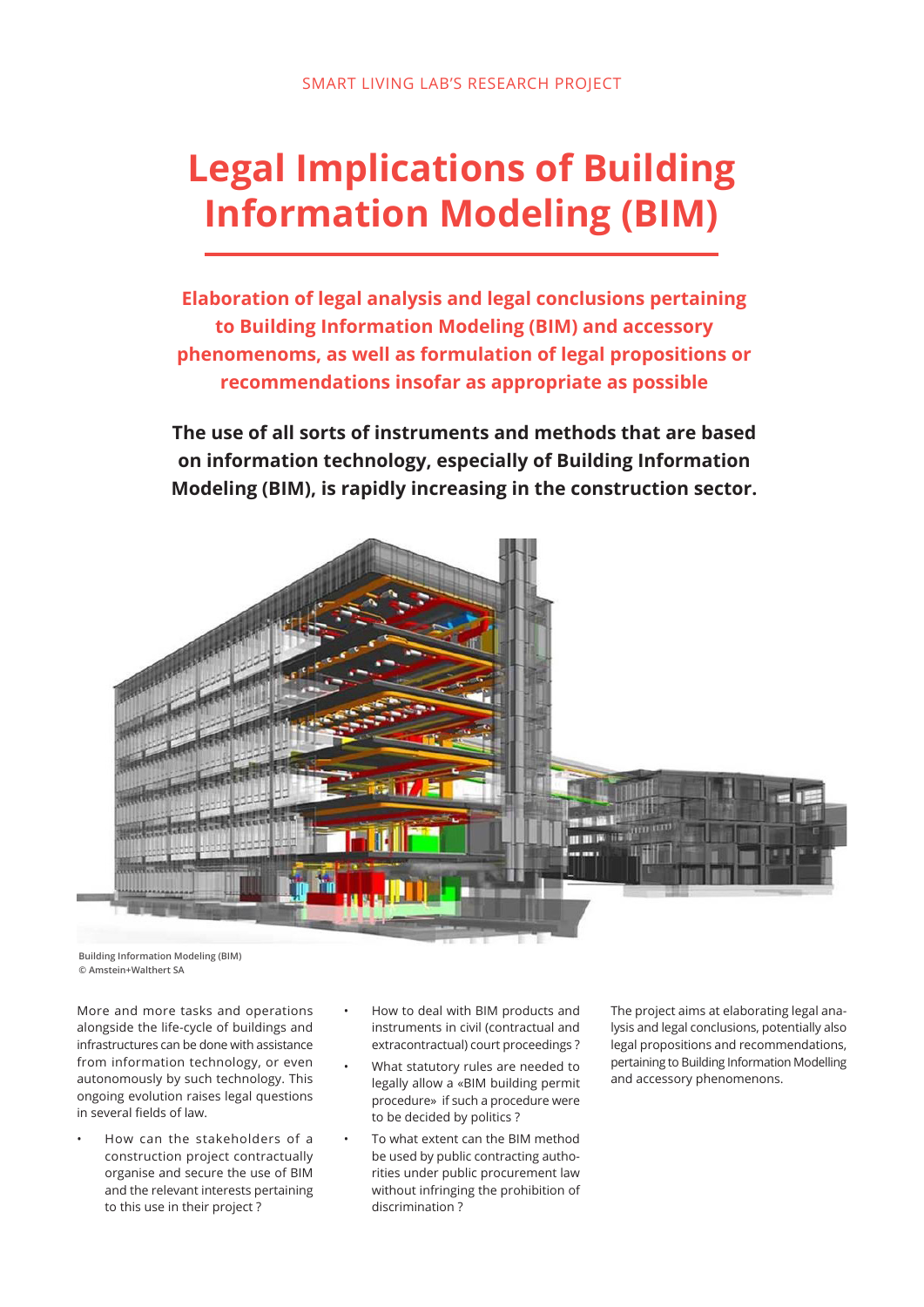# **Legal Implications of Building Information Modeling (BIM)**

**Elaboration of legal analysis and legal conclusions pertaining to Building Information Modeling (BIM) and accessory phenomenoms, as well as formulation of legal propositions or recommendations insofar as appropriate as possible**

**The use of all sorts of instruments and methods that are based on information technology, especially of Building Information Modeling (BIM), is rapidly increasing in the construction sector.** 



**Building Information Modeling (BIM) © Amstein+Walthert SA**

More and more tasks and operations alongside the life-cycle of buildings and infrastructures can be done with assistance from information technology, or even autonomously by such technology. This ongoing evolution raises legal questions in several fields of law.

- How can the stakeholders of a construction project contractually organise and secure the use of BIM and the relevant interests pertaining to this use in their project ?
- How to deal with BIM products and instruments in civil (contractual and extracontractual) court proceedings ?
- What statutory rules are needed to legally allow a «BIM building permit procedure» if such a procedure were to be decided by politics ?
- To what extent can the BIM method be used by public contracting authorities under public procurement law without infringing the prohibition of discrimination ?

The project aims at elaborating legal analysis and legal conclusions, potentially also legal propositions and recommendations, pertaining to Building Information Modelling and accessory phenomenons.